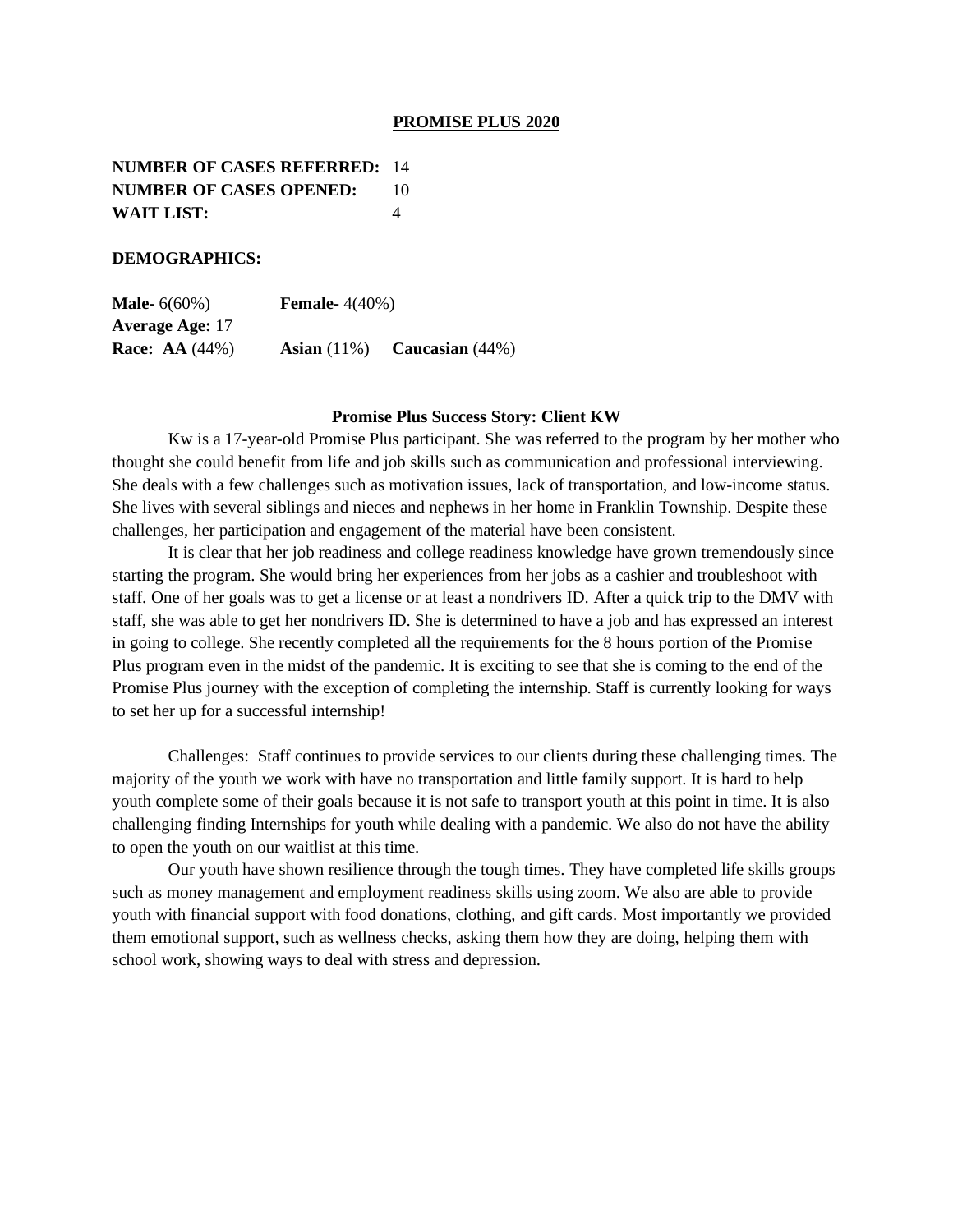#### **PROMISE PLUS 2020**

**NUMBER OF CASES REFERRED:** 14 **NUMBER OF CASES OPENED:** 10 **WAIT LIST:** 4

### **DEMOGRAPHICS:**

**Male-** 6(60%) **Female-** 4(40%) **Average Age:** 17 **Race: AA** (44%) **Asian** (11%) **Caucasian** (44%)

#### **Promise Plus Success Story: Client KW**

Kw is a 17-year-old Promise Plus participant. She was referred to the program by her mother who thought she could benefit from life and job skills such as communication and professional interviewing. She deals with a few challenges such as motivation issues, lack of transportation, and low-income status. She lives with several siblings and nieces and nephews in her home in Franklin Township. Despite these challenges, her participation and engagement of the material have been consistent.

It is clear that her job readiness and college readiness knowledge have grown tremendously since starting the program. She would bring her experiences from her jobs as a cashier and troubleshoot with staff. One of her goals was to get a license or at least a nondrivers ID. After a quick trip to the DMV with staff, she was able to get her nondrivers ID. She is determined to have a job and has expressed an interest in going to college. She recently completed all the requirements for the 8 hours portion of the Promise Plus program even in the midst of the pandemic. It is exciting to see that she is coming to the end of the Promise Plus journey with the exception of completing the internship. Staff is currently looking for ways to set her up for a successful internship!

Challenges: Staff continues to provide services to our clients during these challenging times. The majority of the youth we work with have no transportation and little family support. It is hard to help youth complete some of their goals because it is not safe to transport youth at this point in time. It is also challenging finding Internships for youth while dealing with a pandemic. We also do not have the ability to open the youth on our waitlist at this time.

Our youth have shown resilience through the tough times. They have completed life skills groups such as money management and employment readiness skills using zoom. We also are able to provide youth with financial support with food donations, clothing, and gift cards. Most importantly we provided them emotional support, such as wellness checks, asking them how they are doing, helping them with school work, showing ways to deal with stress and depression.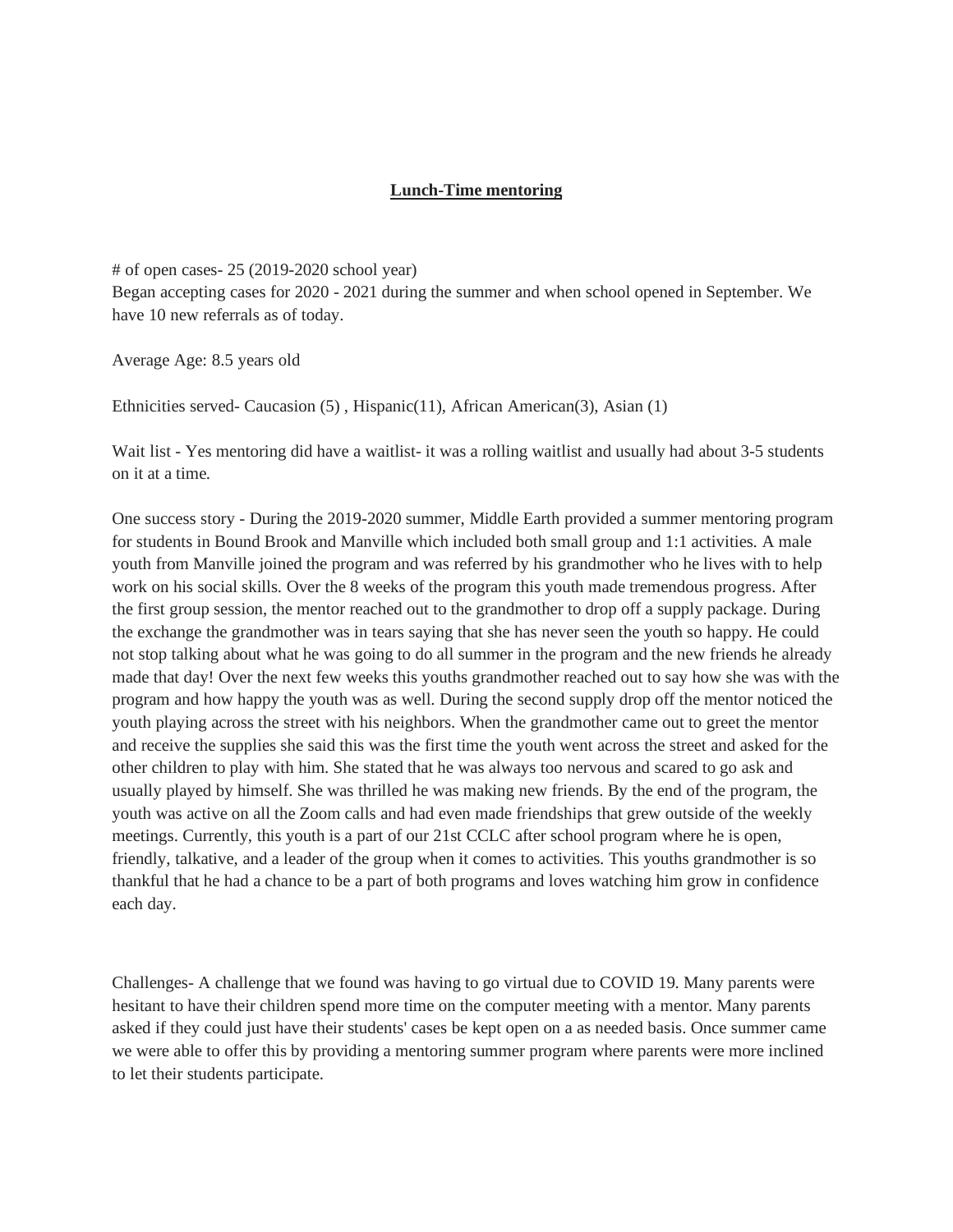## **Lunch-Time mentoring**

# of open cases- 25 (2019-2020 school year) Began accepting cases for 2020 - 2021 during the summer and when school opened in September. We have 10 new referrals as of today.

Average Age: 8.5 years old

Ethnicities served- Caucasion (5) , Hispanic(11), African American(3), Asian (1)

Wait list - Yes mentoring did have a waitlist- it was a rolling waitlist and usually had about 3-5 students on it at a time.

One success story - During the 2019-2020 summer, Middle Earth provided a summer mentoring program for students in Bound Brook and Manville which included both small group and 1:1 activities. A male youth from Manville joined the program and was referred by his grandmother who he lives with to help work on his social skills. Over the 8 weeks of the program this youth made tremendous progress. After the first group session, the mentor reached out to the grandmother to drop off a supply package. During the exchange the grandmother was in tears saying that she has never seen the youth so happy. He could not stop talking about what he was going to do all summer in the program and the new friends he already made that day! Over the next few weeks this youths grandmother reached out to say how she was with the program and how happy the youth was as well. During the second supply drop off the mentor noticed the youth playing across the street with his neighbors. When the grandmother came out to greet the mentor and receive the supplies she said this was the first time the youth went across the street and asked for the other children to play with him. She stated that he was always too nervous and scared to go ask and usually played by himself. She was thrilled he was making new friends. By the end of the program, the youth was active on all the Zoom calls and had even made friendships that grew outside of the weekly meetings. Currently, this youth is a part of our 21st CCLC after school program where he is open, friendly, talkative, and a leader of the group when it comes to activities. This youths grandmother is so thankful that he had a chance to be a part of both programs and loves watching him grow in confidence each day.

Challenges- A challenge that we found was having to go virtual due to COVID 19. Many parents were hesitant to have their children spend more time on the computer meeting with a mentor. Many parents asked if they could just have their students' cases be kept open on a as needed basis. Once summer came we were able to offer this by providing a mentoring summer program where parents were more inclined to let their students participate.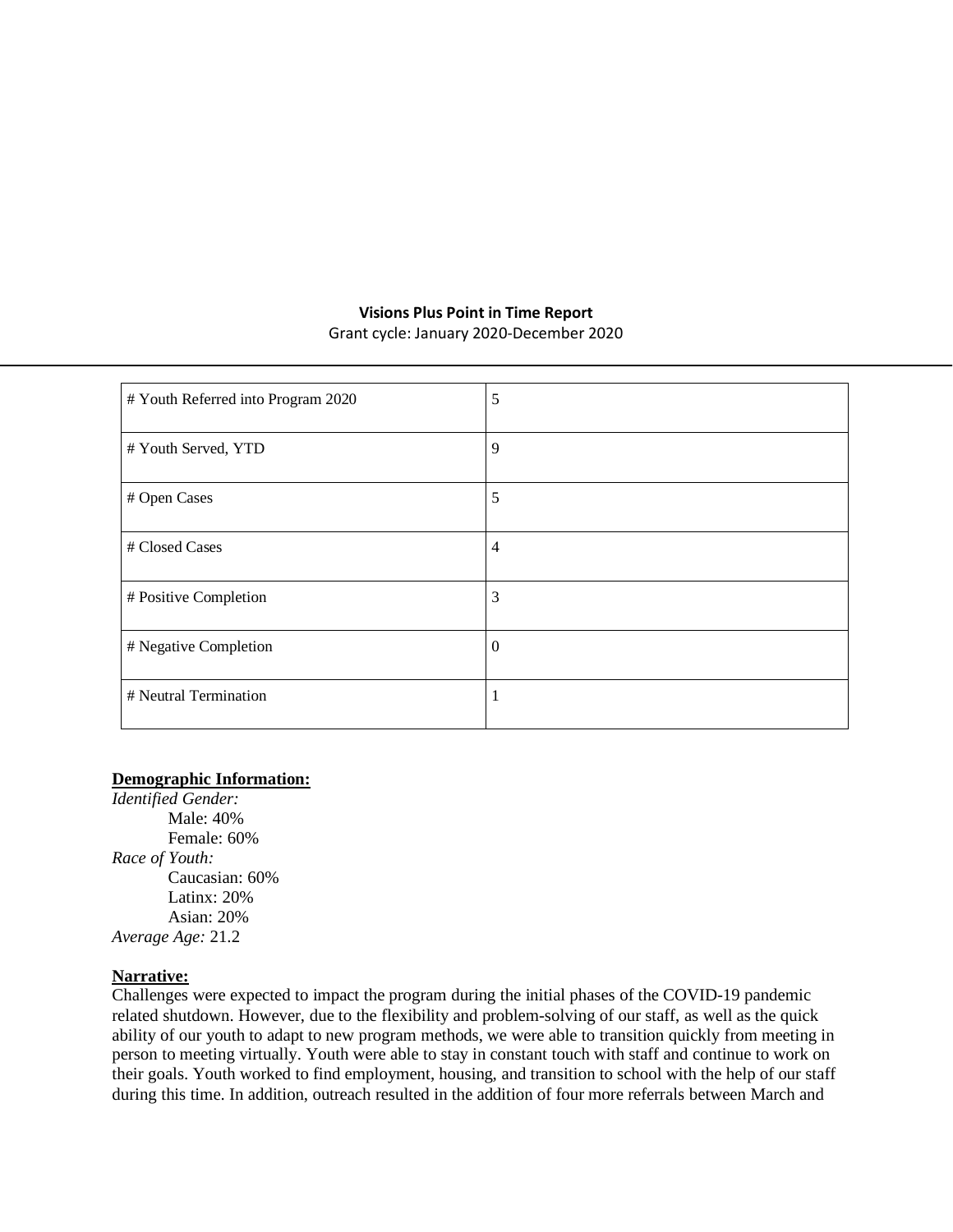# **Visions Plus Point in Time Report**

Grant cycle: January 2020-December 2020

| # Youth Referred into Program 2020 | 5              |
|------------------------------------|----------------|
| # Youth Served, YTD                | 9              |
| # Open Cases                       | 5              |
| # Closed Cases                     | $\overline{4}$ |
| # Positive Completion              | 3              |
| # Negative Completion              | $\overline{0}$ |
| # Neutral Termination              |                |

# **Demographic Information:**

*Identified Gender:* Male: 40% Female: 60% *Race of Youth:* Caucasian: 60% Latinx: 20% Asian: 20% *Average Age:* 21.2

### **Narrative:**

Challenges were expected to impact the program during the initial phases of the COVID-19 pandemic related shutdown. However, due to the flexibility and problem-solving of our staff, as well as the quick ability of our youth to adapt to new program methods, we were able to transition quickly from meeting in person to meeting virtually. Youth were able to stay in constant touch with staff and continue to work on their goals. Youth worked to find employment, housing, and transition to school with the help of our staff during this time. In addition, outreach resulted in the addition of four more referrals between March and